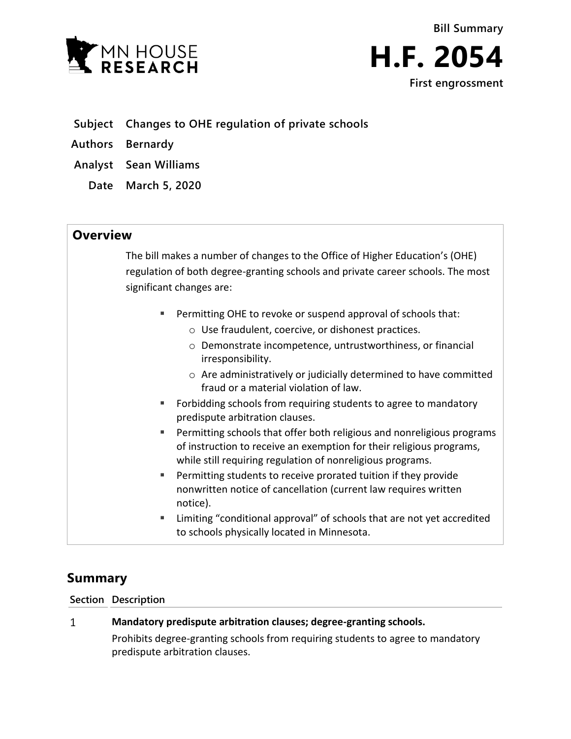

- **Subject Changes to OHE regulation of private schools**
- **Authors Bernardy**
- **Analyst Sean Williams**
	- **Date March 5, 2020**

## **Overview**

The bill makes a number of changes to the Office of Higher Education's (OHE) regulation of both degree-granting schools and private career schools. The most significant changes are:

- Permitting OHE to revoke or suspend approval of schools that:
	- o Use fraudulent, coercive, or dishonest practices.
	- o Demonstrate incompetence, untrustworthiness, or financial irresponsibility.
	- o Are administratively or judicially determined to have committed fraud or a material violation of law.
- Forbidding schools from requiring students to agree to mandatory predispute arbitration clauses.
- Permitting schools that offer both religious and nonreligious programs of instruction to receive an exemption for their religious programs, while still requiring regulation of nonreligious programs.
- Permitting students to receive prorated tuition if they provide nonwritten notice of cancellation (current law requires written notice).
- Limiting "conditional approval" of schools that are not yet accredited to schools physically located in Minnesota.

# **Summary**

### **Section Description**

#### $\mathbf{1}$ **Mandatory predispute arbitration clauses; degree-granting schools.**

Prohibits degree-granting schools from requiring students to agree to mandatory predispute arbitration clauses.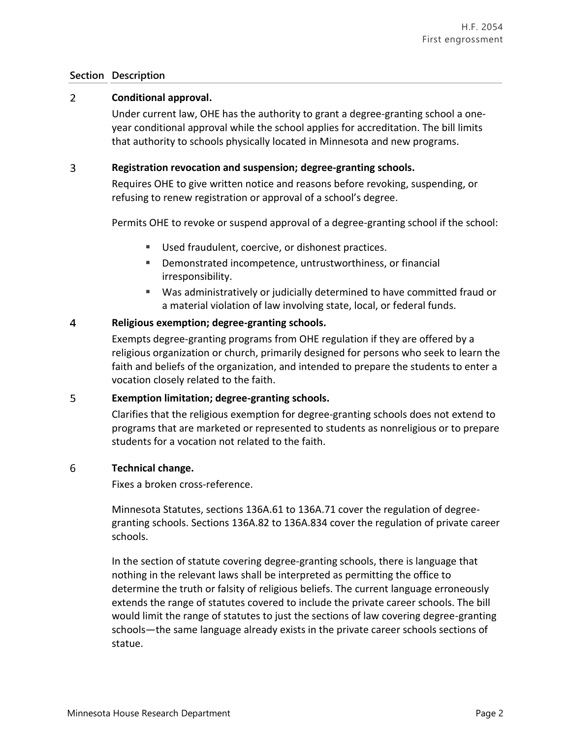### **Section Description**

#### $\overline{2}$ **Conditional approval.**

Under current law, OHE has the authority to grant a degree-granting school a oneyear conditional approval while the school applies for accreditation. The bill limits that authority to schools physically located in Minnesota and new programs.

#### 3 **Registration revocation and suspension; degree-granting schools.**

Requires OHE to give written notice and reasons before revoking, suspending, or refusing to renew registration or approval of a school's degree.

Permits OHE to revoke or suspend approval of a degree-granting school if the school:

- Used fraudulent, coercive, or dishonest practices.
- Demonstrated incompetence, untrustworthiness, or financial irresponsibility.
- Was administratively or judicially determined to have committed fraud or a material violation of law involving state, local, or federal funds.

#### $\overline{4}$ **Religious exemption; degree-granting schools.**

Exempts degree-granting programs from OHE regulation if they are offered by a religious organization or church, primarily designed for persons who seek to learn the faith and beliefs of the organization, and intended to prepare the students to enter a vocation closely related to the faith.

#### 5 **Exemption limitation; degree-granting schools.**

Clarifies that the religious exemption for degree-granting schools does not extend to programs that are marketed or represented to students as nonreligious or to prepare students for a vocation not related to the faith.

#### 6 **Technical change.**

Fixes a broken cross-reference.

Minnesota Statutes, sections 136A.61 to 136A.71 cover the regulation of degreegranting schools. Sections 136A.82 to 136A.834 cover the regulation of private career schools.

In the section of statute covering degree-granting schools, there is language that nothing in the relevant laws shall be interpreted as permitting the office to determine the truth or falsity of religious beliefs. The current language erroneously extends the range of statutes covered to include the private career schools. The bill would limit the range of statutes to just the sections of law covering degree-granting schools—the same language already exists in the private career schools sections of statue.